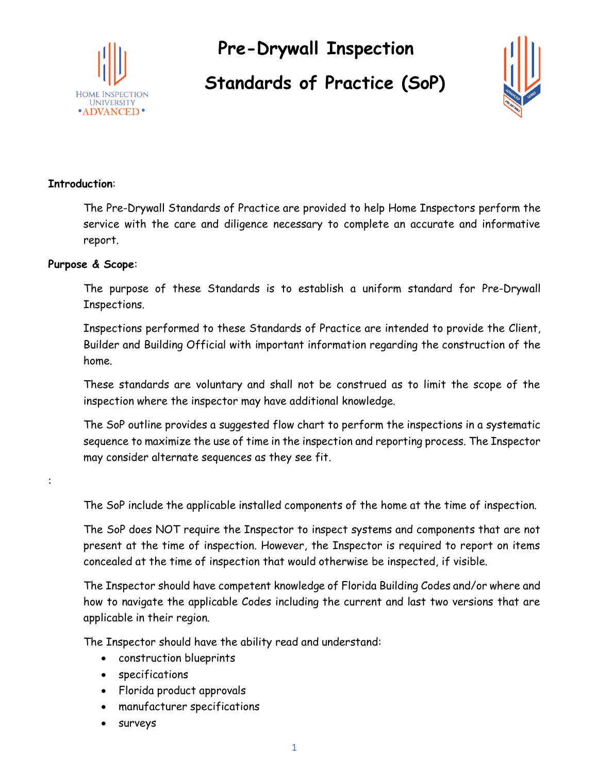

**Pre-Drywall Inspection Standards of Practice (SoP)**



#### **Introduction**:

The Pre-Drywall Standards of Practice are provided to help Home Inspectors perform the service with the care and diligence necessary to complete an accurate and informative report.

#### **Purpose & Scope**:

:

The purpose of these Standards is to establish a uniform standard for Pre-Drywall Inspections.

Inspections performed to these Standards of Practice are intended to provide the Client, Builder and Building Official with important information regarding the construction of the home.

These standards are voluntary and shall not be construed as to limit the scope of the inspection where the inspector may have additional knowledge.

The SoP outline provides a suggested flow chart to perform the inspections in a systematic sequence to maximize the use of time in the inspection and reporting process. The Inspector may consider alternate sequences as they see fit.

The SoP include the applicable installed components of the home at the time of inspection.

The SoP does NOT require the Inspector to inspect systems and components that are not present at the time of inspection. However, the Inspector is required to report on items concealed at the time of inspection that would otherwise be inspected, if visible.

The Inspector should have competent knowledge of Florida Building Codes and/or where and how to navigate the applicable Codes including the current and last two versions that are applicable in their region.

The Inspector should have the ability read and understand:

- construction blueprints
- specifications
- Florida product approvals
- manufacturer specifications
- surveys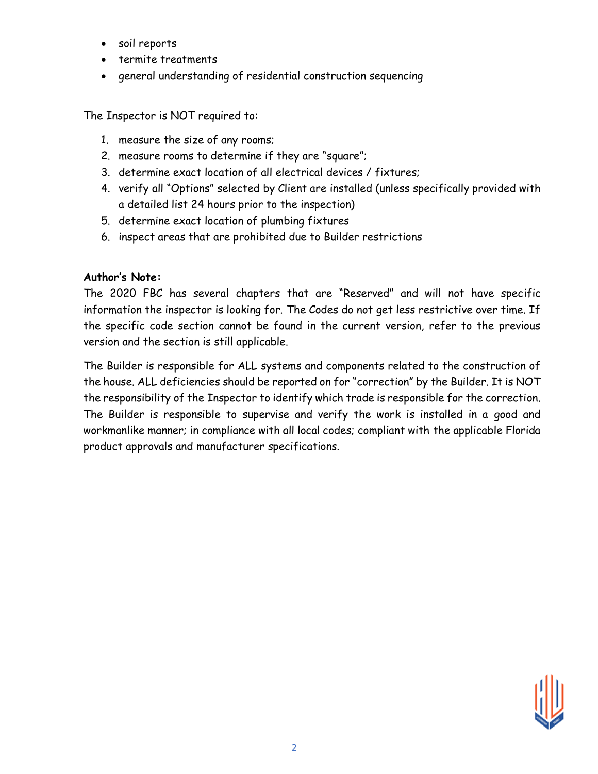- soil reports
- termite treatments
- general understanding of residential construction sequencing

The Inspector is NOT required to:

- 1. measure the size of any rooms;
- 2. measure rooms to determine if they are "square";
- 3. determine exact location of all electrical devices / fixtures;
- 4. verify all "Options" selected by Client are installed (unless specifically provided with a detailed list 24 hours prior to the inspection)
- 5. determine exact location of plumbing fixtures
- 6. inspect areas that are prohibited due to Builder restrictions

### **Author's Note:**

The 2020 FBC has several chapters that are "Reserved" and will not have specific information the inspector is looking for. The Codes do not get less restrictive over time. If the specific code section cannot be found in the current version, refer to the previous version and the section is still applicable.

The Builder is responsible for ALL systems and components related to the construction of the house. ALL deficiencies should be reported on for "correction" by the Builder. It is NOT the responsibility of the Inspector to identify which trade is responsible for the correction. The Builder is responsible to supervise and verify the work is installed in a good and workmanlike manner; in compliance with all local codes; compliant with the applicable Florida product approvals and manufacturer specifications.

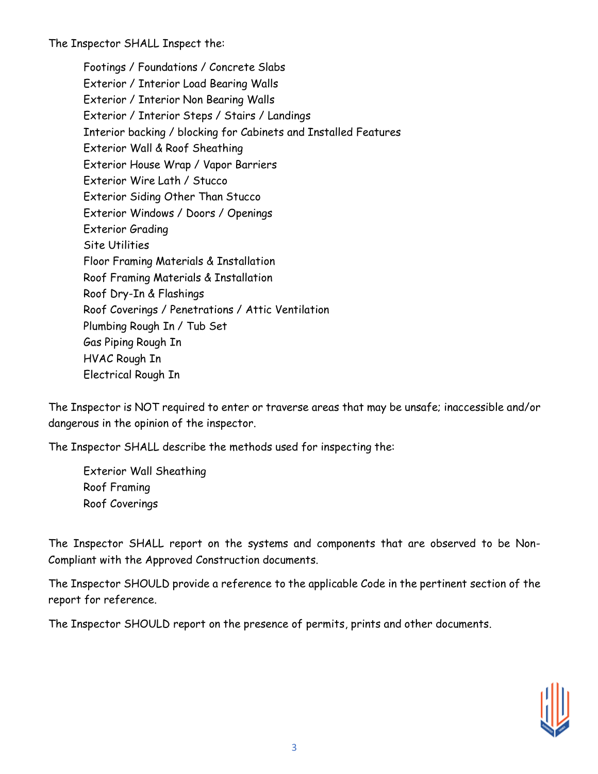The Inspector SHALL Inspect the:

Footings / Foundations / Concrete Slabs Exterior / Interior Load Bearing Walls Exterior / Interior Non Bearing Walls Exterior / Interior Steps / Stairs / Landings Interior backing / blocking for Cabinets and Installed Features Exterior Wall & Roof Sheathing Exterior House Wrap / Vapor Barriers Exterior Wire Lath / Stucco Exterior Siding Other Than Stucco Exterior Windows / Doors / Openings Exterior Grading Site Utilities Floor Framing Materials & Installation Roof Framing Materials & Installation Roof Dry-In & Flashings Roof Coverings / Penetrations / Attic Ventilation Plumbing Rough In / Tub Set Gas Piping Rough In HVAC Rough In Electrical Rough In

The Inspector is NOT required to enter or traverse areas that may be unsafe; inaccessible and/or dangerous in the opinion of the inspector.

The Inspector SHALL describe the methods used for inspecting the:

Exterior Wall Sheathing Roof Framing Roof Coverings

The Inspector SHALL report on the systems and components that are observed to be Non-Compliant with the Approved Construction documents.

The Inspector SHOULD provide a reference to the applicable Code in the pertinent section of the report for reference.

The Inspector SHOULD report on the presence of permits, prints and other documents.

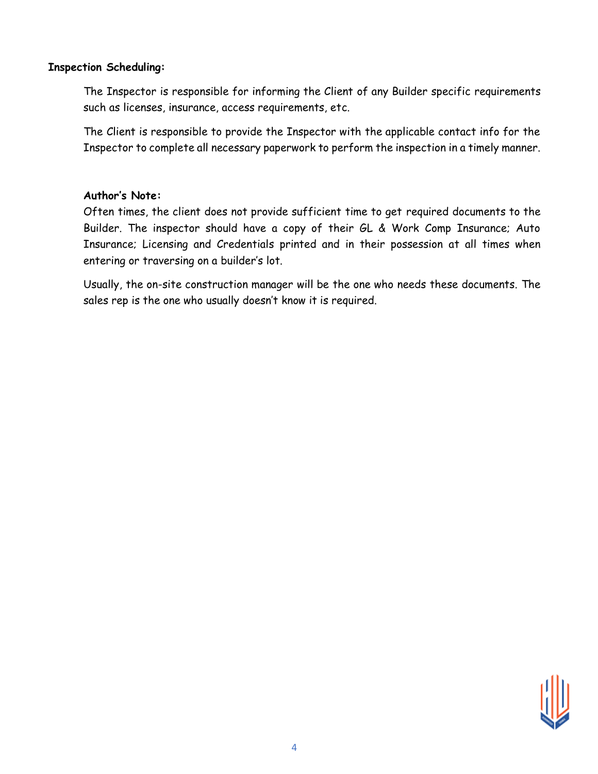#### **Inspection Scheduling:**

The Inspector is responsible for informing the Client of any Builder specific requirements such as licenses, insurance, access requirements, etc.

The Client is responsible to provide the Inspector with the applicable contact info for the Inspector to complete all necessary paperwork to perform the inspection in a timely manner.

#### **Author's Note:**

Often times, the client does not provide sufficient time to get required documents to the Builder. The inspector should have a copy of their GL & Work Comp Insurance; Auto Insurance; Licensing and Credentials printed and in their possession at all times when entering or traversing on a builder's lot.

Usually, the on-site construction manager will be the one who needs these documents. The sales rep is the one who usually doesn't know it is required.

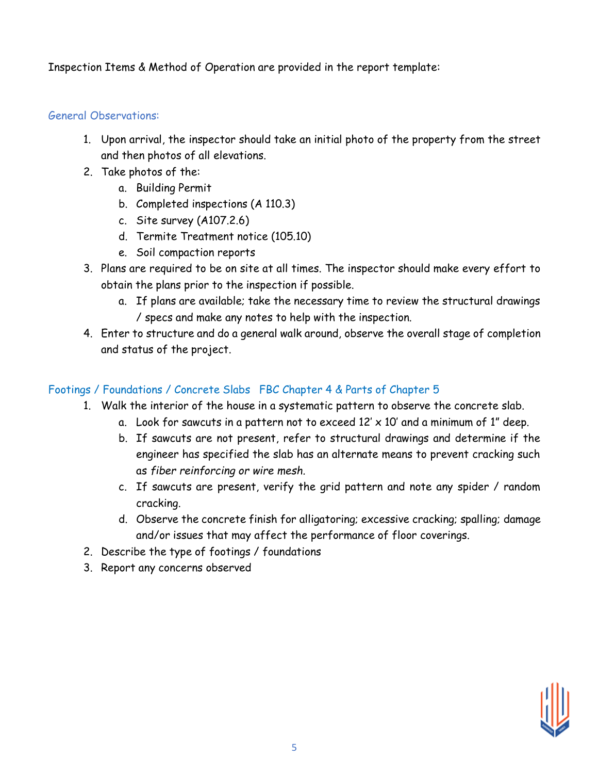Inspection Items & Method of Operation are provided in the report template:

# General Observations:

- 1. Upon arrival, the inspector should take an initial photo of the property from the street and then photos of all elevations.
- 2. Take photos of the:
	- a. Building Permit
	- b. Completed inspections (A 110.3)
	- c. Site survey (A107.2.6)
	- d. Termite Treatment notice (105.10)
	- e. Soil compaction reports
- 3. Plans are required to be on site at all times. The inspector should make every effort to obtain the plans prior to the inspection if possible.
	- a. If plans are available; take the necessary time to review the structural drawings / specs and make any notes to help with the inspection.
- 4. Enter to structure and do a general walk around, observe the overall stage of completion and status of the project.

# Footings / Foundations / Concrete Slabs FBC Chapter 4 & Parts of Chapter 5

- 1. Walk the interior of the house in a systematic pattern to observe the concrete slab.
	- a. Look for sawcuts in a pattern not to exceed  $12' \times 10'$  and a minimum of 1" deep.
	- b. If sawcuts are not present, refer to structural drawings and determine if the engineer has specified the slab has an alternate means to prevent cracking such as *fiber reinforcing or wire mesh.*
	- c. If sawcuts are present, verify the grid pattern and note any spider / random cracking.
	- d. Observe the concrete finish for alligatoring; excessive cracking; spalling; damage and/or issues that may affect the performance of floor coverings.
- 2. Describe the type of footings / foundations
- 3. Report any concerns observed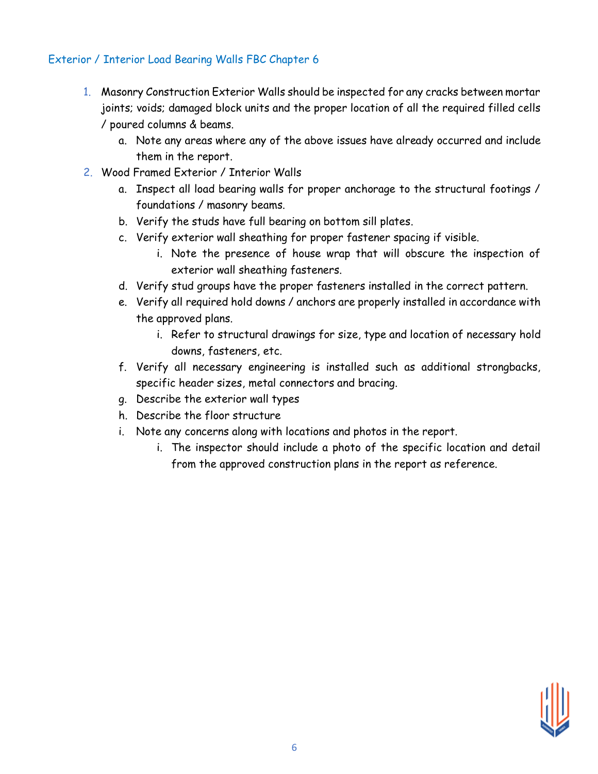# Exterior / Interior Load Bearing Walls FBC Chapter 6

- 1. Masonry Construction Exterior Walls should be inspected for any cracks between mortar joints; voids; damaged block units and the proper location of all the required filled cells / poured columns & beams.
	- a. Note any areas where any of the above issues have already occurred and include them in the report.
- 2. Wood Framed Exterior / Interior Walls
	- a. Inspect all load bearing walls for proper anchorage to the structural footings / foundations / masonry beams.
	- b. Verify the studs have full bearing on bottom sill plates.
	- c. Verify exterior wall sheathing for proper fastener spacing if visible.
		- i. Note the presence of house wrap that will obscure the inspection of exterior wall sheathing fasteners.
	- d. Verify stud groups have the proper fasteners installed in the correct pattern.
	- e. Verify all required hold downs / anchors are properly installed in accordance with the approved plans.
		- i. Refer to structural drawings for size, type and location of necessary hold downs, fasteners, etc.
	- f. Verify all necessary engineering is installed such as additional strongbacks, specific header sizes, metal connectors and bracing.
	- g. Describe the exterior wall types
	- h. Describe the floor structure
	- i. Note any concerns along with locations and photos in the report.
		- i. The inspector should include a photo of the specific location and detail from the approved construction plans in the report as reference.

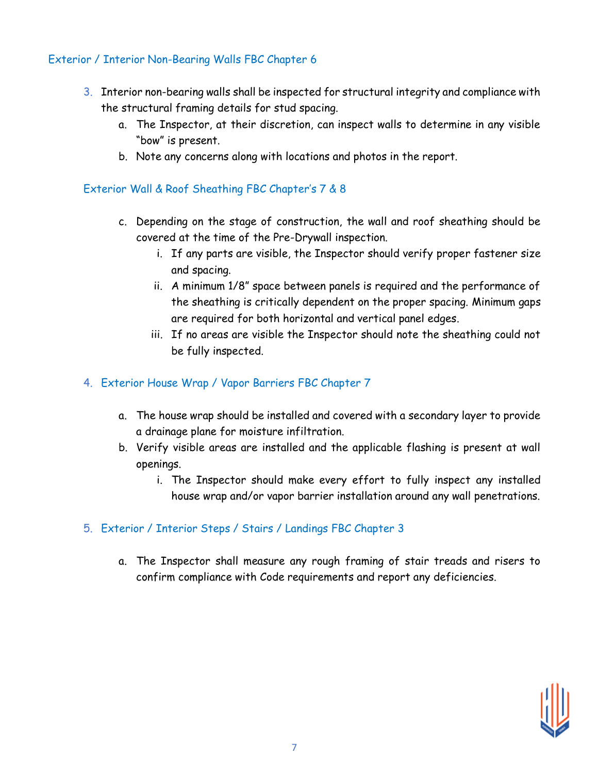# Exterior / Interior Non-Bearing Walls FBC Chapter 6

- 3. Interior non-bearing walls shall be inspected for structural integrity and compliance with the structural framing details for stud spacing.
	- a. The Inspector, at their discretion, can inspect walls to determine in any visible "bow" is present.
	- b. Note any concerns along with locations and photos in the report.

# Exterior Wall & Roof Sheathing FBC Chapter's 7 & 8

- c. Depending on the stage of construction, the wall and roof sheathing should be covered at the time of the Pre-Drywall inspection.
	- i. If any parts are visible, the Inspector should verify proper fastener size and spacing.
	- ii. A minimum 1/8" space between panels is required and the performance of the sheathing is critically dependent on the proper spacing. Minimum gaps are required for both horizontal and vertical panel edges.
	- iii. If no areas are visible the Inspector should note the sheathing could not be fully inspected.

## 4. Exterior House Wrap / Vapor Barriers FBC Chapter 7

- a. The house wrap should be installed and covered with a secondary layer to provide a drainage plane for moisture infiltration.
- b. Verify visible areas are installed and the applicable flashing is present at wall openings.
	- i. The Inspector should make every effort to fully inspect any installed house wrap and/or vapor barrier installation around any wall penetrations.

# 5. Exterior / Interior Steps / Stairs / Landings FBC Chapter 3

a. The Inspector shall measure any rough framing of stair treads and risers to confirm compliance with Code requirements and report any deficiencies.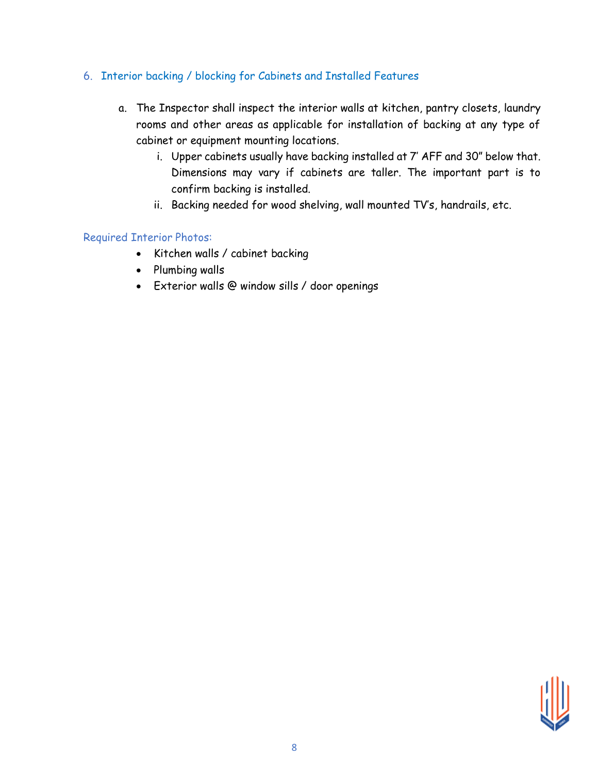# 6. Interior backing / blocking for Cabinets and Installed Features

- a. The Inspector shall inspect the interior walls at kitchen, pantry closets, laundry rooms and other areas as applicable for installation of backing at any type of cabinet or equipment mounting locations.
	- i. Upper cabinets usually have backing installed at 7' AFF and 30" below that. Dimensions may vary if cabinets are taller. The important part is to confirm backing is installed.
	- ii. Backing needed for wood shelving, wall mounted TV's, handrails, etc.

### Required Interior Photos:

- Kitchen walls / cabinet backing
- Plumbing walls
- Exterior walls @ window sills / door openings

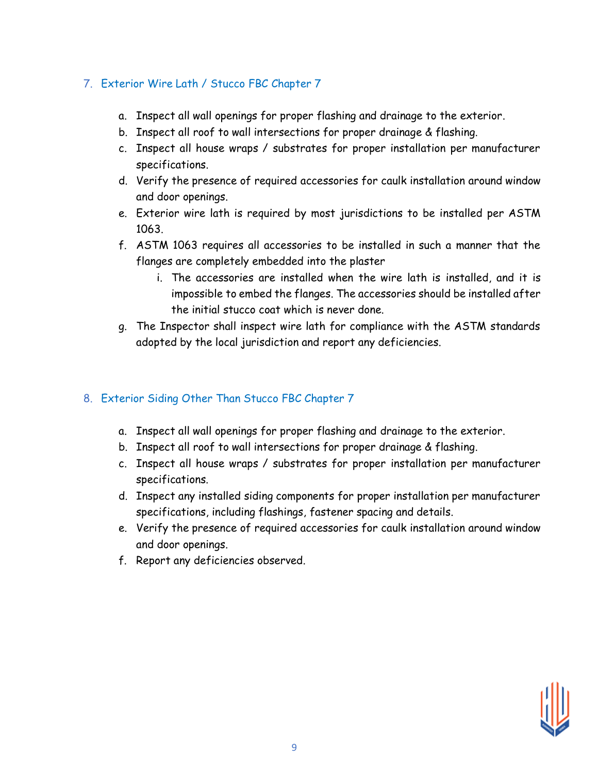# 7. Exterior Wire Lath / Stucco FBC Chapter 7

- a. Inspect all wall openings for proper flashing and drainage to the exterior.
- b. Inspect all roof to wall intersections for proper drainage & flashing.
- c. Inspect all house wraps / substrates for proper installation per manufacturer specifications.
- d. Verify the presence of required accessories for caulk installation around window and door openings.
- e. Exterior wire lath is required by most jurisdictions to be installed per ASTM 1063.
- f. ASTM 1063 requires all accessories to be installed in such a manner that the flanges are completely embedded into the plaster
	- i. The accessories are installed when the wire lath is installed, and it is impossible to embed the flanges. The accessories should be installed after the initial stucco coat which is never done.
- g. The Inspector shall inspect wire lath for compliance with the ASTM standards adopted by the local jurisdiction and report any deficiencies.

# 8. Exterior Siding Other Than Stucco FBC Chapter 7

- a. Inspect all wall openings for proper flashing and drainage to the exterior.
- b. Inspect all roof to wall intersections for proper drainage & flashing.
- c. Inspect all house wraps / substrates for proper installation per manufacturer specifications.
- d. Inspect any installed siding components for proper installation per manufacturer specifications, including flashings, fastener spacing and details.
- e. Verify the presence of required accessories for caulk installation around window and door openings.
- f. Report any deficiencies observed.

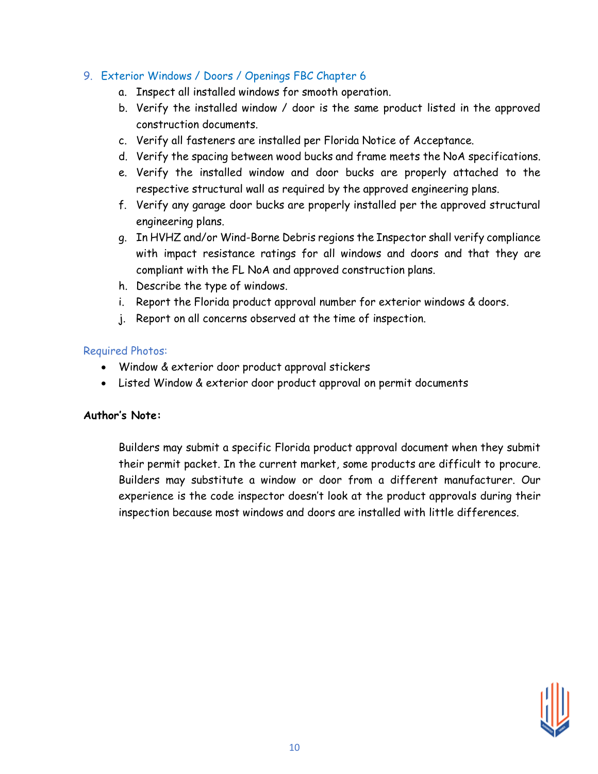# 9. Exterior Windows / Doors / Openings FBC Chapter 6

- a. Inspect all installed windows for smooth operation.
- b. Verify the installed window / door is the same product listed in the approved construction documents.
- c. Verify all fasteners are installed per Florida Notice of Acceptance.
- d. Verify the spacing between wood bucks and frame meets the NoA specifications.
- e. Verify the installed window and door bucks are properly attached to the respective structural wall as required by the approved engineering plans.
- f. Verify any garage door bucks are properly installed per the approved structural engineering plans.
- g. In HVHZ and/or Wind-Borne Debris regions the Inspector shall verify compliance with impact resistance ratings for all windows and doors and that they are compliant with the FL NoA and approved construction plans.
- h. Describe the type of windows.
- i. Report the Florida product approval number for exterior windows & doors.
- j. Report on all concerns observed at the time of inspection.

### Required Photos:

- Window & exterior door product approval stickers
- Listed Window & exterior door product approval on permit documents

# **Author's Note:**

Builders may submit a specific Florida product approval document when they submit their permit packet. In the current market, some products are difficult to procure. Builders may substitute a window or door from a different manufacturer. Our experience is the code inspector doesn't look at the product approvals during their inspection because most windows and doors are installed with little differences.

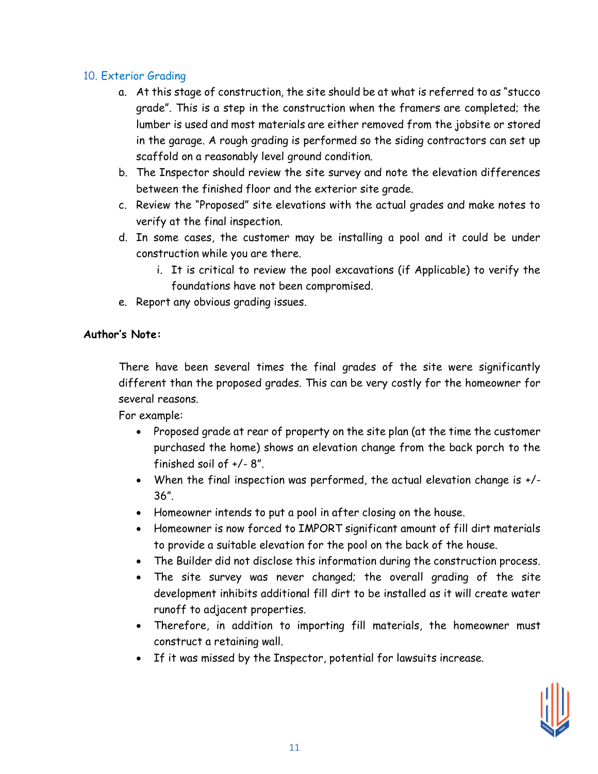### 10. Exterior Grading

- a. At this stage of construction, the site should be at what is referred to as "stucco grade". This is a step in the construction when the framers are completed; the lumber is used and most materials are either removed from the jobsite or stored in the garage. A rough grading is performed so the siding contractors can set up scaffold on a reasonably level ground condition.
- b. The Inspector should review the site survey and note the elevation differences between the finished floor and the exterior site grade.
- c. Review the "Proposed" site elevations with the actual grades and make notes to verify at the final inspection.
- d. In some cases, the customer may be installing a pool and it could be under construction while you are there.
	- i. It is critical to review the pool excavations (if Applicable) to verify the foundations have not been compromised.
- e. Report any obvious grading issues.

### **Author's Note:**

There have been several times the final grades of the site were significantly different than the proposed grades. This can be very costly for the homeowner for several reasons.

For example:

- Proposed grade at rear of property on the site plan (at the time the customer purchased the home) shows an elevation change from the back porch to the finished soil of +/- 8".
- When the final inspection was performed, the actual elevation change is +/- 36".
- Homeowner intends to put a pool in after closing on the house.
- Homeowner is now forced to IMPORT significant amount of fill dirt materials to provide a suitable elevation for the pool on the back of the house.
- The Builder did not disclose this information during the construction process.
- The site survey was never changed; the overall grading of the site development inhibits additional fill dirt to be installed as it will create water runoff to adjacent properties.
- Therefore, in addition to importing fill materials, the homeowner must construct a retaining wall.
- If it was missed by the Inspector, potential for lawsuits increase.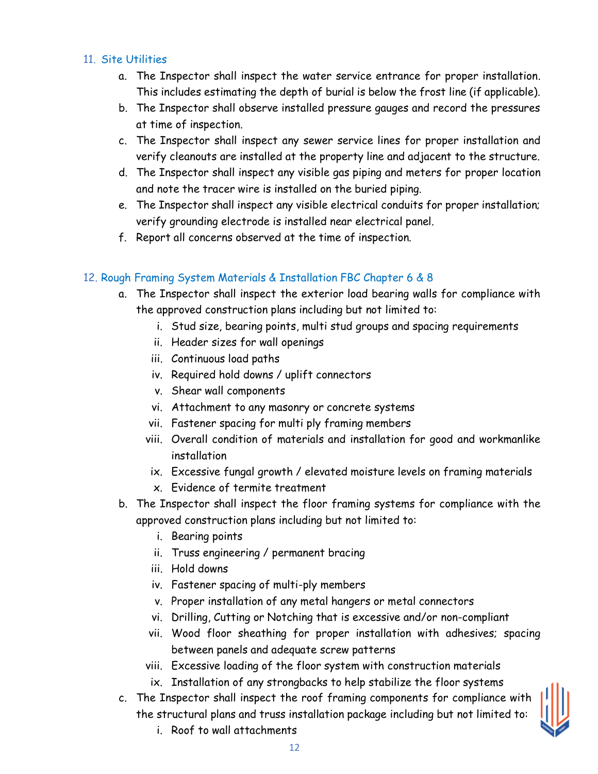## 11. Site Utilities

- a. The Inspector shall inspect the water service entrance for proper installation. This includes estimating the depth of burial is below the frost line (if applicable).
- b. The Inspector shall observe installed pressure gauges and record the pressures at time of inspection.
- c. The Inspector shall inspect any sewer service lines for proper installation and verify cleanouts are installed at the property line and adjacent to the structure.
- d. The Inspector shall inspect any visible gas piping and meters for proper location and note the tracer wire is installed on the buried piping.
- e. The Inspector shall inspect any visible electrical conduits for proper installation; verify grounding electrode is installed near electrical panel.
- f. Report all concerns observed at the time of inspection.

# 12. Rough Framing System Materials & Installation FBC Chapter 6 & 8

- a. The Inspector shall inspect the exterior load bearing walls for compliance with the approved construction plans including but not limited to:
	- i. Stud size, bearing points, multi stud groups and spacing requirements
	- ii. Header sizes for wall openings
	- iii. Continuous load paths
	- iv. Required hold downs / uplift connectors
	- v. Shear wall components
	- vi. Attachment to any masonry or concrete systems
	- vii. Fastener spacing for multi ply framing members
	- viii. Overall condition of materials and installation for good and workmanlike installation
	- ix. Excessive fungal growth / elevated moisture levels on framing materials
	- x. Evidence of termite treatment
- b. The Inspector shall inspect the floor framing systems for compliance with the approved construction plans including but not limited to:
	- i. Bearing points
	- ii. Truss engineering / permanent bracing
	- iii. Hold downs
	- iv. Fastener spacing of multi-ply members
	- v. Proper installation of any metal hangers or metal connectors
	- vi. Drilling, Cutting or Notching that is excessive and/or non-compliant
	- vii. Wood floor sheathing for proper installation with adhesives; spacing between panels and adequate screw patterns
	- viii. Excessive loading of the floor system with construction materials
	- ix. Installation of any strongbacks to help stabilize the floor systems
- c. The Inspector shall inspect the roof framing components for compliance with the structural plans and truss installation package including but not limited to:



i. Roof to wall attachments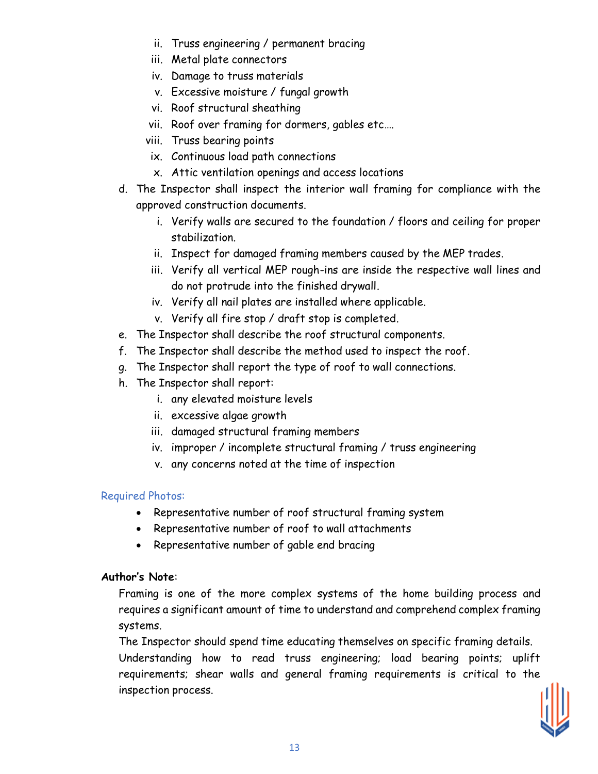- ii. Truss engineering / permanent bracing
- iii. Metal plate connectors
- iv. Damage to truss materials
- v. Excessive moisture / fungal growth
- vi. Roof structural sheathing
- vii. Roof over framing for dormers, gables etc….
- viii. Truss bearing points
- ix. Continuous load path connections
- x. Attic ventilation openings and access locations
- d. The Inspector shall inspect the interior wall framing for compliance with the approved construction documents.
	- i. Verify walls are secured to the foundation / floors and ceiling for proper stabilization.
	- ii. Inspect for damaged framing members caused by the MEP trades.
	- iii. Verify all vertical MEP rough-ins are inside the respective wall lines and do not protrude into the finished drywall.
	- iv. Verify all nail plates are installed where applicable.
	- v. Verify all fire stop / draft stop is completed.
- e. The Inspector shall describe the roof structural components.
- f. The Inspector shall describe the method used to inspect the roof.
- g. The Inspector shall report the type of roof to wall connections.
- h. The Inspector shall report:
	- i. any elevated moisture levels
	- ii. excessive algae growth
	- iii. damaged structural framing members
	- iv. improper / incomplete structural framing / truss engineering
	- v. any concerns noted at the time of inspection

# Required Photos:

- Representative number of roof structural framing system
- Representative number of roof to wall attachments
- Representative number of gable end bracing

# **Author's Note**:

Framing is one of the more complex systems of the home building process and requires a significant amount of time to understand and comprehend complex framing systems.

The Inspector should spend time educating themselves on specific framing details. Understanding how to read truss engineering; load bearing points; uplift requirements; shear walls and general framing requirements is critical to the inspection process.

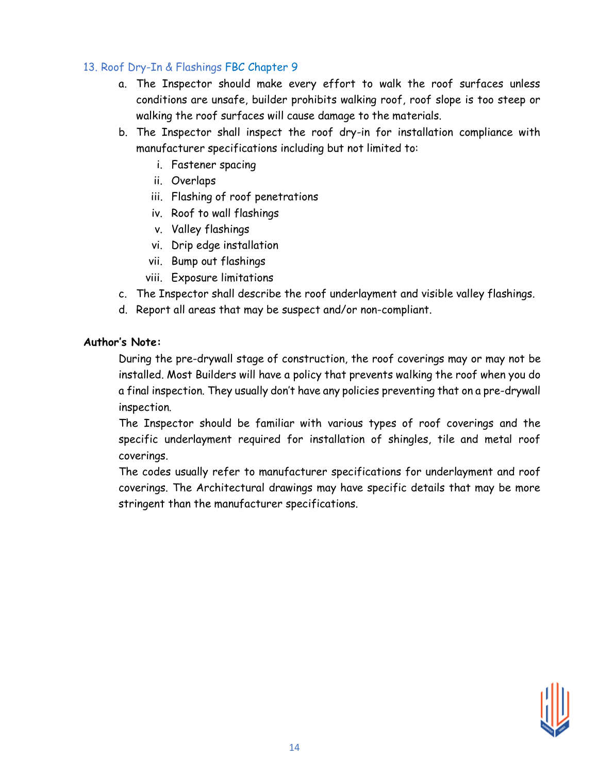# 13. Roof Dry-In & Flashings FBC Chapter 9

- a. The Inspector should make every effort to walk the roof surfaces unless conditions are unsafe, builder prohibits walking roof, roof slope is too steep or walking the roof surfaces will cause damage to the materials.
- b. The Inspector shall inspect the roof dry-in for installation compliance with manufacturer specifications including but not limited to:
	- i. Fastener spacing
	- ii. Overlaps
	- iii. Flashing of roof penetrations
	- iv. Roof to wall flashings
	- v. Valley flashings
	- vi. Drip edge installation
	- vii. Bump out flashings
	- viii. Exposure limitations
- c. The Inspector shall describe the roof underlayment and visible valley flashings.
- d. Report all areas that may be suspect and/or non-compliant.

#### **Author's Note:**

During the pre-drywall stage of construction, the roof coverings may or may not be installed. Most Builders will have a policy that prevents walking the roof when you do a final inspection. They usually don't have any policies preventing that on a pre-drywall inspection.

The Inspector should be familiar with various types of roof coverings and the specific underlayment required for installation of shingles, tile and metal roof coverings.

The codes usually refer to manufacturer specifications for underlayment and roof coverings. The Architectural drawings may have specific details that may be more stringent than the manufacturer specifications.

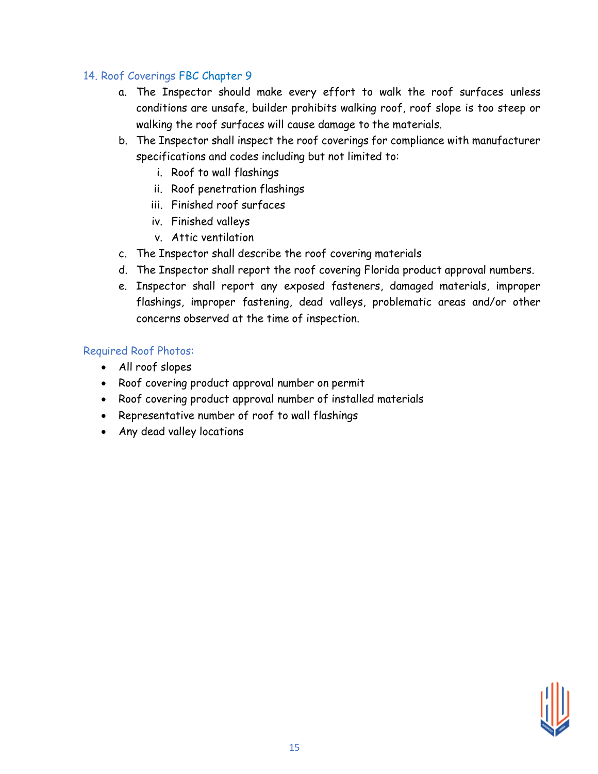# 14. Roof Coverings FBC Chapter 9

- a. The Inspector should make every effort to walk the roof surfaces unless conditions are unsafe, builder prohibits walking roof, roof slope is too steep or walking the roof surfaces will cause damage to the materials.
- b. The Inspector shall inspect the roof coverings for compliance with manufacturer specifications and codes including but not limited to:
	- i. Roof to wall flashings
	- ii. Roof penetration flashings
	- iii. Finished roof surfaces
	- iv. Finished valleys
	- v. Attic ventilation
- c. The Inspector shall describe the roof covering materials
- d. The Inspector shall report the roof covering Florida product approval numbers.
- e. Inspector shall report any exposed fasteners, damaged materials, improper flashings, improper fastening, dead valleys, problematic areas and/or other concerns observed at the time of inspection.

# Required Roof Photos:

- All roof slopes
- Roof covering product approval number on permit
- Roof covering product approval number of installed materials
- Representative number of roof to wall flashings
- Any dead valley locations

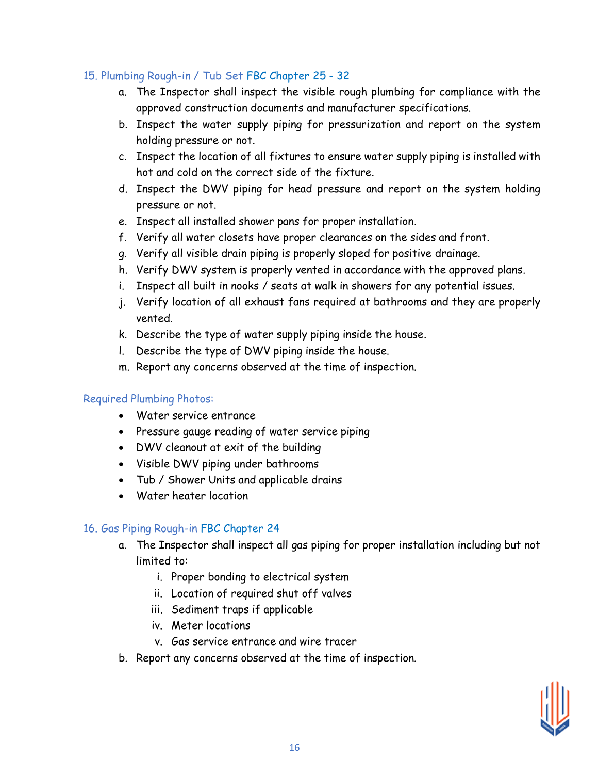# 15. Plumbing Rough-in / Tub Set FBC Chapter 25 - 32

- a. The Inspector shall inspect the visible rough plumbing for compliance with the approved construction documents and manufacturer specifications.
- b. Inspect the water supply piping for pressurization and report on the system holding pressure or not.
- c. Inspect the location of all fixtures to ensure water supply piping is installed with hot and cold on the correct side of the fixture.
- d. Inspect the DWV piping for head pressure and report on the system holding pressure or not.
- e. Inspect all installed shower pans for proper installation.
- f. Verify all water closets have proper clearances on the sides and front.
- g. Verify all visible drain piping is properly sloped for positive drainage.
- h. Verify DWV system is properly vented in accordance with the approved plans.
- i. Inspect all built in nooks / seats at walk in showers for any potential issues.
- j. Verify location of all exhaust fans required at bathrooms and they are properly vented.
- k. Describe the type of water supply piping inside the house.
- l. Describe the type of DWV piping inside the house.
- m. Report any concerns observed at the time of inspection.

#### Required Plumbing Photos:

- Water service entrance
- Pressure gauge reading of water service piping
- DWV cleanout at exit of the building
- Visible DWV piping under bathrooms
- Tub / Shower Units and applicable drains
- Water heater location

#### 16. Gas Piping Rough-in FBC Chapter 24

- a. The Inspector shall inspect all gas piping for proper installation including but not limited to:
	- i. Proper bonding to electrical system
	- ii. Location of required shut off valves
	- iii. Sediment traps if applicable
	- iv. Meter locations
	- v. Gas service entrance and wire tracer
- b. Report any concerns observed at the time of inspection.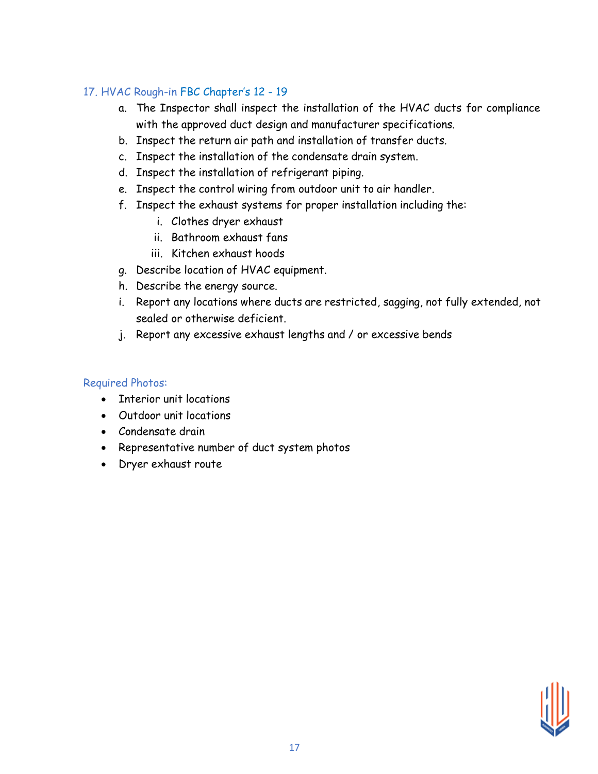# 17. HVAC Rough-in FBC Chapter's 12 - 19

- a. The Inspector shall inspect the installation of the HVAC ducts for compliance with the approved duct design and manufacturer specifications.
- b. Inspect the return air path and installation of transfer ducts.
- c. Inspect the installation of the condensate drain system.
- d. Inspect the installation of refrigerant piping.
- e. Inspect the control wiring from outdoor unit to air handler.
- f. Inspect the exhaust systems for proper installation including the:
	- i. Clothes dryer exhaust
	- ii. Bathroom exhaust fans
	- iii. Kitchen exhaust hoods
- g. Describe location of HVAC equipment.
- h. Describe the energy source.
- i. Report any locations where ducts are restricted, sagging, not fully extended, not sealed or otherwise deficient.
- j. Report any excessive exhaust lengths and / or excessive bends

# Required Photos:

- Interior unit locations
- Outdoor unit locations
- Condensate drain
- Representative number of duct system photos
- Dryer exhaust route

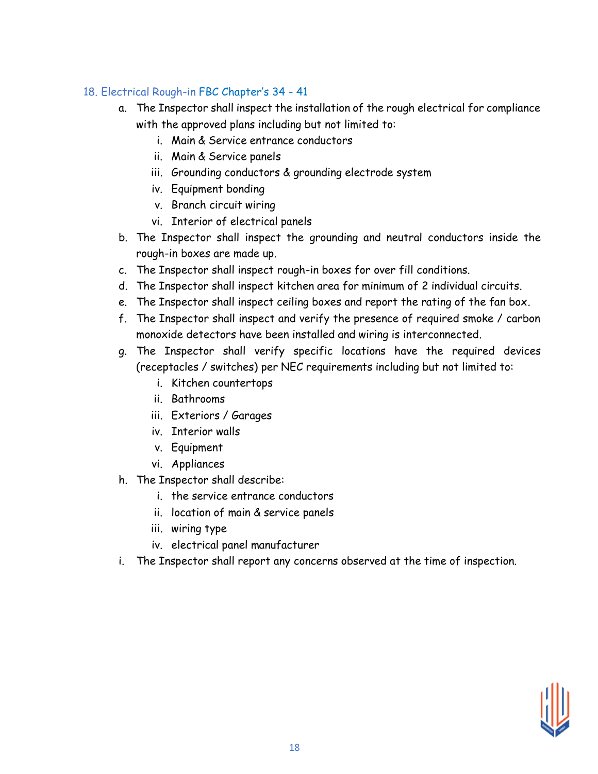# 18. Electrical Rough-in FBC Chapter's 34 - 41

- a. The Inspector shall inspect the installation of the rough electrical for compliance with the approved plans including but not limited to:
	- i. Main & Service entrance conductors
	- ii. Main & Service panels
	- iii. Grounding conductors & grounding electrode system
	- iv. Equipment bonding
	- v. Branch circuit wiring
	- vi. Interior of electrical panels
- b. The Inspector shall inspect the grounding and neutral conductors inside the rough-in boxes are made up.
- c. The Inspector shall inspect rough-in boxes for over fill conditions.
- d. The Inspector shall inspect kitchen area for minimum of 2 individual circuits.
- e. The Inspector shall inspect ceiling boxes and report the rating of the fan box.
- f. The Inspector shall inspect and verify the presence of required smoke / carbon monoxide detectors have been installed and wiring is interconnected.
- g. The Inspector shall verify specific locations have the required devices (receptacles / switches) per NEC requirements including but not limited to:
	- i. Kitchen countertops
	- ii. Bathrooms
	- iii. Exteriors / Garages
	- iv. Interior walls
	- v. Equipment
	- vi. Appliances
- h. The Inspector shall describe:
	- i. the service entrance conductors
	- ii. location of main & service panels
	- iii. wiring type
	- iv. electrical panel manufacturer
- i. The Inspector shall report any concerns observed at the time of inspection.